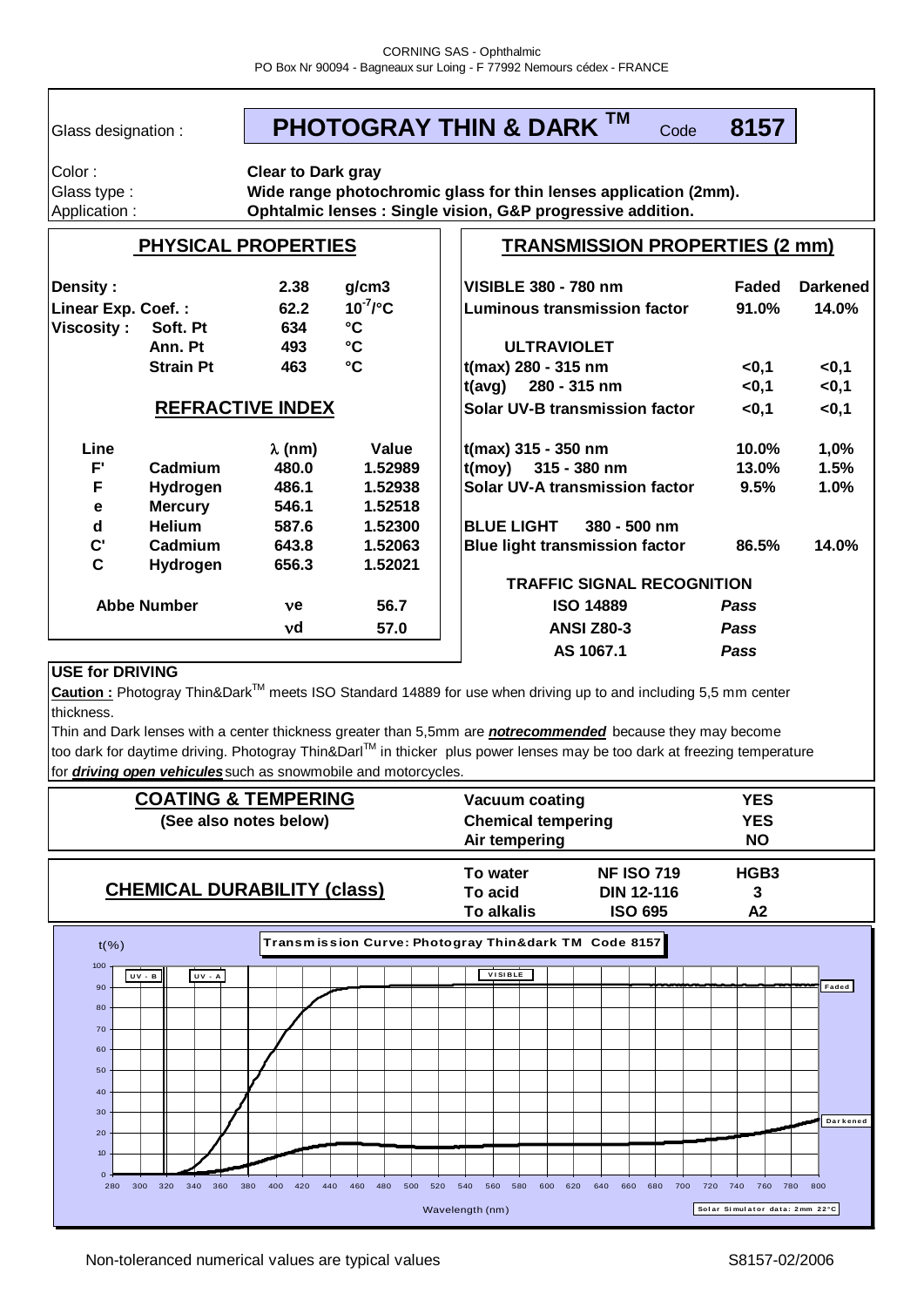Glass designation :

#### Code **8157 PHOTOGRAY THIN & DARK TM**

Color : Glass type : Application :

**Clear to Dark gray Wide range photochromic glass for thin lenses application (2mm). Ophtalmic lenses : Single vision, G&P progressive addition.**

# **PHYSICAL PROPERTIES**

# **TRANSMISSION PROPERTIES (2 mm)**

| <b>Density:</b>    |                         | 2.38           | g/cm3                   | <b>VISIBLE 380 - 780 nm</b>           | Faded       | <b>Darkened</b> |
|--------------------|-------------------------|----------------|-------------------------|---------------------------------------|-------------|-----------------|
| Linear Exp. Coef.: |                         | 62.2           | $10^{7}$ / $^{\circ}$ C | Luminous transmission factor          | 91.0%       | 14.0%           |
| <b>Viscosity:</b>  | Soft. Pt                | 634            | $\rm ^{\circ}C$         |                                       |             |                 |
|                    | Ann. Pt                 | 493            | $\mathbf{C}$            | <b>ULTRAVIOLET</b>                    |             |                 |
|                    | <b>Strain Pt</b>        | 463            | $\rm ^{\circ}C$         | t(max) 280 - 315 nm                   | < 0.1       | <0,1            |
|                    |                         |                |                         | 280 - 315 nm<br>t(avg)                | $<$ 0,1     | <0,1            |
|                    | <b>REFRACTIVE INDEX</b> |                |                         | Solar UV-B transmission factor        | < 0, 1      | <0,1            |
| Line               |                         | $\lambda$ (nm) | Value                   | t(max) 315 - 350 nm                   | 10.0%       | 1,0%            |
| $F^{\prime}$       | Cadmium                 | 480.0          | 1.52989                 | $t(moy)$ 315 - 380 nm                 | $13.0\%$    | 1.5%            |
| F                  | <b>Hydrogen</b>         | 486.1          | 1.52938                 | Solar UV-A transmission factor        | 9.5%        | 1.0%            |
| $\mathbf e$        | <b>Mercury</b>          | 546.1          | 1.52518                 |                                       |             |                 |
| d                  | <b>Helium</b>           | 587.6          | 1.52300                 | <b>BLUE LIGHT</b><br>$380 - 500$ nm   |             |                 |
| $\mathbf{C}$       | Cadmium                 | 643.8          | 1.52063                 | <b>Blue light transmission factor</b> | 86.5%       | 14.0%           |
| C                  | Hydrogen                | 656.3          | 1.52021                 |                                       |             |                 |
|                    |                         |                |                         | <b>TRAFFIC SIGNAL RECOGNITION</b>     |             |                 |
| <b>Abbe Number</b> |                         | ve             | 56.7                    | <b>ISO 14889</b>                      | <b>Pass</b> |                 |
|                    |                         | νd             | 57.0                    | <b>ANSI Z80-3</b>                     | <b>Pass</b> |                 |
|                    |                         |                |                         | AS 1067.1                             | <b>Pass</b> |                 |

# **USE for DRIVING**

Caution : Photogray Thin&Dark™ meets ISO Standard 14889 for use when driving up to and including 5,5 mm center thickness.

for *driving open vehicules*such as snowmobile and motorcycles. too dark for daytime driving. Photogray Thin&Darl™ in thicker plus power lenses may be too dark at freezing temperature Thin and Dark lenses with a center thickness greater than 5,5mm are *notrecommended* because they may become